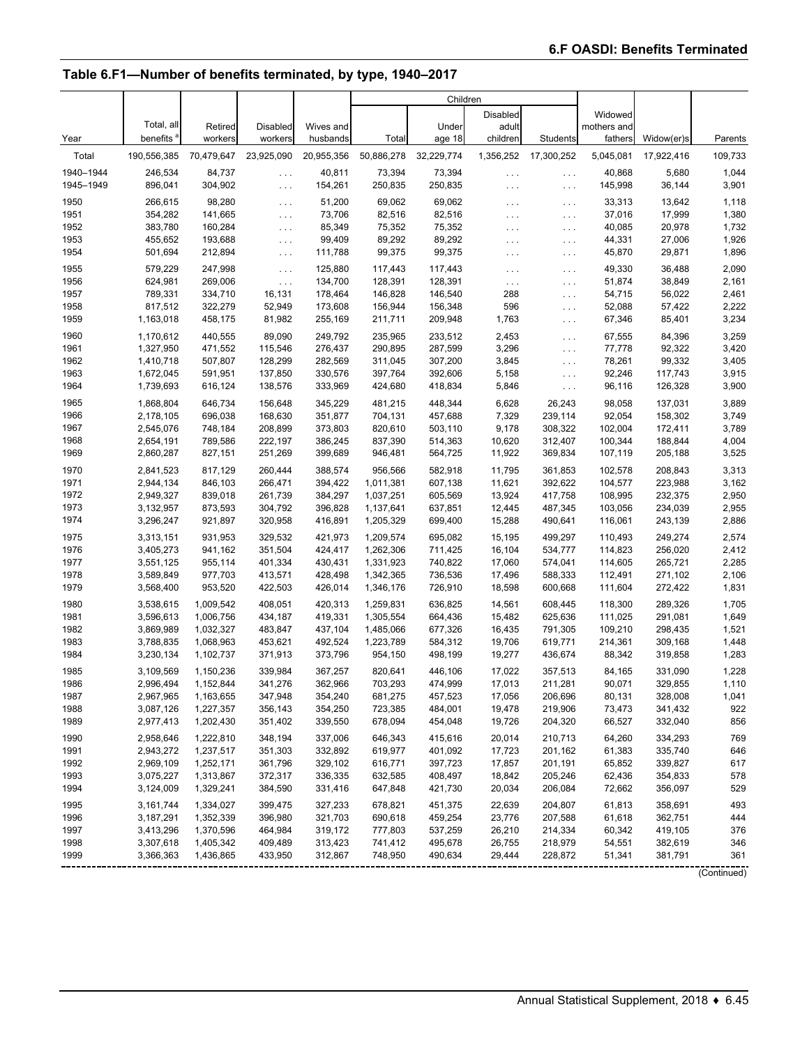## **Table 6.F1—Number of benefits terminated, by type, 1940–2017**

|              |                        |                    |                      |                    | Children               |                    |                      |                      |                    |                    |                |
|--------------|------------------------|--------------------|----------------------|--------------------|------------------------|--------------------|----------------------|----------------------|--------------------|--------------------|----------------|
|              |                        |                    |                      |                    |                        |                    | <b>Disabled</b>      |                      | Widowed            |                    |                |
|              | Total, all             | Retired            | <b>Disabled</b>      | Wives and          |                        | Under              | adult                |                      | mothers and        |                    |                |
| Year         | benefits               | workers            | workers              | husbands           | Total                  | age 18             | children             | Students             | fathers            | Widow(er)s         | Parents        |
| Total        | 190,556,385            | 70,479,647         | 23,925,090           | 20,955,356         | 50,886,278             | 32,229,774         | 1,356,252            | 17,300,252           | 5,045,081          | 17,922,416         | 109,733        |
| 1940-1944    | 246,534                | 84,737             | $\cdots$             | 40,811             | 73,394                 | 73,394             | $\sim$ $\sim$ $\sim$ | $\sim$ $\sim$ $\sim$ | 40,868             | 5,680              | 1,044          |
| 1945-1949    | 896,041                | 304,902            | $\ldots$             | 154,261            | 250,835                | 250,835            | $\cdots$             | $\cdots$             | 145,998            | 36,144             | 3,901          |
| 1950         | 266,615                | 98,280             | $\sim$ $\sim$ $\sim$ | 51,200             | 69,062                 | 69,062             | $\cdots$             | $\sim 100$           | 33,313             | 13,642             | 1,118          |
| 1951         | 354,282                | 141,665            | $\cdots$             | 73,706             | 82,516                 | 82,516             | .                    | $\sim$ $\sim$ $\sim$ | 37,016             | 17,999             | 1,380          |
| 1952         | 383,780                | 160,284            | $\sim 100$           | 85,349             | 75,352                 | 75,352             | $\sim$ $\sim$ $\sim$ | $\sim$ $\sim$ $\sim$ | 40,085             | 20,978             | 1,732          |
| 1953         | 455,652                | 193,688            | $\sim 100$           | 99,409             | 89,292                 | 89,292             | $\cdots$             | $\sim$ $\sim$ $\sim$ | 44,331             | 27,006             | 1,926          |
| 1954         | 501,694                | 212,894            | $\sim$ $\sim$ $\sim$ | 111,788            | 99,375                 | 99,375             | $\cdots$             | $\sim$ $\sim$ $\sim$ | 45,870             | 29,871             | 1,896          |
| 1955         | 579,229                | 247,998            | $\sim 100$           | 125,880            | 117,443                | 117,443            | $\cdots$             | $\sim$ $\sim$ $\sim$ | 49,330             | 36,488             | 2,090          |
| 1956         | 624,981                | 269,006            | $\ldots$             | 134,700            | 128,391                | 128,391            | $\ldots$             | $\sim$ $\sim$ $\sim$ | 51,874             | 38,849             | 2,161          |
| 1957         | 789,331                | 334,710            | 16,131               | 178,464            | 146,828                | 146,540            | 288                  | $\sim$ $\sim$ $\sim$ | 54,715             | 56,022             | 2,461          |
| 1958         | 817,512                | 322,279            | 52,949               | 173,608            | 156,944                | 156,348            | 596                  | $\sim$ $\sim$ $\sim$ | 52,088             | 57,422             | 2,222          |
| 1959         | 1,163,018              | 458,175            | 81,982               | 255,169            | 211,711                | 209,948            | 1,763                | $\ldots$ .           | 67,346             | 85,401             | 3,234          |
| 1960         | 1,170,612              | 440,555            | 89,090               | 249,792            | 235,965                | 233,512            | 2,453                | $\sim 100$           | 67,555             | 84,396             | 3,259          |
| 1961         | 1,327,950              | 471,552            | 115,546              | 276,437            | 290,895                | 287,599            | 3,296                | $\sim$ $\sim$ $\sim$ | 77,778             | 92,322             | 3,420          |
| 1962         | 1,410,718              | 507,807            | 128,299              | 282,569            | 311,045                | 307,200            | 3,845                | $\ldots$ .           | 78,261             | 99,332             | 3,405          |
| 1963         | 1,672,045              | 591,951            | 137,850              | 330,576            | 397,764                | 392,606            | 5,158                | $\sim$ $\sim$ $\sim$ | 92,246             | 117,743            | 3,915          |
| 1964         | 1,739,693              | 616,124            | 138,576              | 333,969            | 424,680                | 418,834            | 5,846                | $\ldots$ .           | 96,116             | 126,328            | 3,900          |
| 1965         | 1.868.804              | 646,734            | 156,648              | 345,229            | 481,215                | 448,344            | 6,628                | 26,243               | 98,058             | 137,031            | 3,889          |
| 1966         | 2,178,105              | 696,038            | 168,630              | 351,877            | 704,131                | 457,688            | 7,329                | 239,114              | 92,054             | 158,302            | 3,749          |
| 1967         | 2,545,076              | 748,184            | 208.899              | 373.803            | 820,610                | 503,110            | 9,178                | 308,322              | 102,004            | 172,411            | 3,789          |
| 1968         | 2,654,191              | 789,586            | 222,197              | 386,245            | 837,390                | 514,363            | 10,620               | 312,407              | 100,344            | 188,844            | 4,004          |
| 1969         | 2,860,287              | 827,151            | 251,269              | 399,689            | 946,481                | 564,725            | 11,922               | 369,834              | 107,119            | 205,188            | 3,525          |
| 1970         | 2,841,523              | 817,129            | 260,444              | 388,574            | 956,566                | 582,918            | 11,795               | 361,853              | 102,578            | 208,843            | 3,313          |
| 1971         | 2,944,134              | 846,103            | 266,471              | 394,422            | 1,011,381              | 607,138            | 11,621               | 392,622              | 104,577            | 223,988            | 3,162          |
| 1972         | 2,949,327              | 839,018            | 261,739              | 384,297            | 1,037,251              | 605,569            | 13,924               | 417,758              | 108,995            | 232,375            | 2,950          |
| 1973         | 3,132,957              | 873,593            | 304,792              | 396,828            | 1,137,641              | 637,851            | 12,445               | 487,345              | 103,056            | 234,039            | 2,955          |
| 1974         | 3,296,247              | 921,897            | 320,958              | 416,891            | 1,205,329              | 699,400            | 15,288               | 490,641              | 116,061            | 243,139            | 2,886          |
| 1975<br>1976 | 3,313,151<br>3,405,273 | 931,953<br>941,162 | 329,532<br>351,504   | 421,973<br>424,417 | 1,209,574<br>1,262,306 | 695,082<br>711,425 | 15,195<br>16,104     | 499,297<br>534,777   | 110,493<br>114,823 | 249,274<br>256,020 | 2,574<br>2,412 |
| 1977         | 3,551,125              | 955,114            | 401,334              | 430,431            | 1,331,923              | 740,822            | 17,060               | 574,041              | 114,605            | 265,721            | 2,285          |
| 1978         | 3,589,849              | 977,703            | 413,571              | 428,498            | 1,342,365              | 736,536            | 17,496               | 588,333              | 112,491            | 271,102            | 2,106          |
| 1979         | 3,568,400              | 953,520            | 422,503              | 426,014            | 1,346,176              | 726,910            | 18,598               | 600,668              | 111,604            | 272,422            | 1,831          |
| 1980         | 3,538,615              | 1,009,542          | 408,051              | 420,313            | 1,259,831              | 636.825            | 14,561               | 608,445              | 118,300            | 289,326            | 1,705          |
| 1981         | 3,596,613              | 1,006,756          | 434,187              | 419,331            | 1,305,554              | 664,436            | 15,482               | 625,636              | 111,025            | 291,081            | 1,649          |
| 1982         | 3,869,989              | 1,032,327          | 483,847              | 437,104            | 1,485,066              | 677,326            | 16,435               | 791,305              | 109,210            | 298,435            | 1,521          |
| 1983         | 3,788,835              | 1,068,963          | 453,621              | 492,524            | 1,223,789              | 584,312            | 19,706               | 619.771              | 214,361            | 309,168            | 1,448          |
| 1984         | 3,230,134              | 1,102,737          | 371,913              | 373,796            | 954,150                | 498,199            | 19,277               | 436,674              | 88,342             | 319,858            | 1,283          |
| 1985         | 3,109,569              | 1,150,236          | 339,984              | 367,257            | 820,641                | 446,106            | 17,022               | 357,513              | 84,165             | 331,090            | 1,228          |
| 1986         | 2,996,494              | 1,152,844          | 341,276              | 362,966            | 703,293                | 474,999            | 17,013               | 211,281              | 90,071             | 329,855            | 1,110          |
| 1987         | 2,967,965              | 1,163,655          | 347,948              | 354,240            | 681,275                | 457,523            | 17,056               | 206,696              | 80,131             | 328,008            | 1,041          |
| 1988         | 3,087,126              | 1,227,357          | 356,143              | 354,250            | 723,385                | 484,001            | 19,478               | 219,906              | 73,473             | 341,432            | 922            |
| 1989         | 2,977,413              | 1,202,430          | 351,402              | 339,550            | 678,094                | 454,048            | 19,726               | 204,320              | 66,527             | 332,040            | 856            |
| 1990         | 2,958,646              | 1,222,810          | 348,194              | 337,006            | 646,343                | 415,616            | 20,014               | 210,713              | 64,260             | 334,293            | 769            |
| 1991         | 2,943,272              | 1,237,517          | 351,303              | 332,892            | 619,977                | 401,092            | 17,723               | 201,162              | 61,383             | 335,740            | 646            |
| 1992         | 2,969,109              | 1,252,171          | 361,796              | 329,102            | 616,771                | 397,723            | 17,857               | 201,191              | 65,852             | 339,827            | 617            |
| 1993         | 3,075,227              | 1,313,867          | 372,317              | 336,335            | 632,585                | 408,497            | 18,842               | 205,246              | 62,436             | 354,833            | 578            |
| 1994         | 3,124,009              | 1,329,241          | 384,590              | 331,416            | 647,848                | 421,730            | 20,034               | 206,084              | 72,662             | 356,097            | 529            |
| 1995         | 3,161,744              | 1,334,027          | 399,475              | 327,233            | 678,821                | 451,375            | 22,639               | 204,807              | 61,813             | 358,691            | 493            |
| 1996         | 3,187,291              | 1,352,339          | 396,980              | 321,703            | 690,618                | 459,254            | 23,776               | 207,588              | 61,618             | 362,751            | 444            |
| 1997         | 3,413,296              | 1,370,596          | 464,984              | 319,172            | 777,803                | 537,259            | 26,210               | 214,334              | 60,342             | 419,105            | 376            |
| 1998         | 3,307,618              | 1,405,342          | 409,489              | 313,423            | 741,412                | 495,678            | 26,755               | 218,979              | 54,551             | 382,619            | 346            |
| 1999         | 3,366,363              | 1,436,865          | 433,950              | 312,867            | 748,950                | 490,634            | 29,444               | 228,872              | 51,341             | 381,791            | 361            |

(Continued)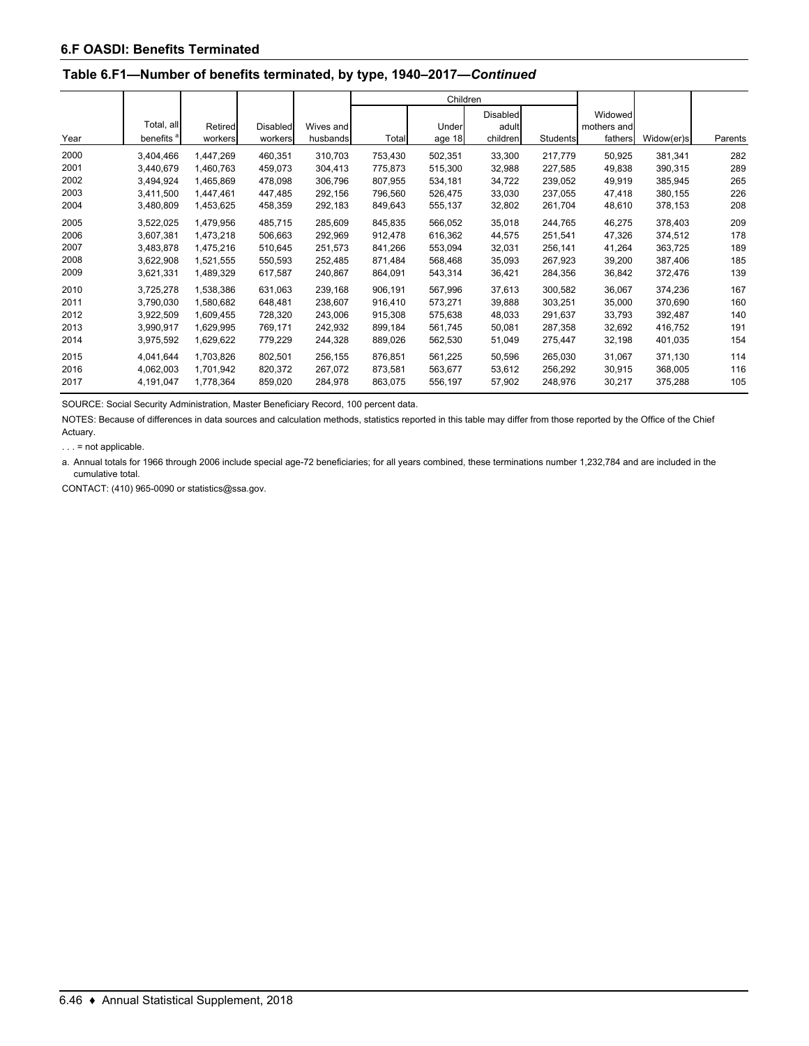## **Table 6.F1—Number of benefits terminated, by type, 1940–2017—***Continued*

|      |                       |           |                 |           |         |         | Children |                 |             |            |         |
|------|-----------------------|-----------|-----------------|-----------|---------|---------|----------|-----------------|-------------|------------|---------|
|      |                       |           |                 |           |         |         | Disabled |                 | Widowed     |            |         |
|      | Total, all            | Retired   | <b>Disabled</b> | Wives and |         | Under   | adult    |                 | mothers and |            |         |
| Year | benefits <sup>a</sup> | workers   | workers         | husbands  | Total   | age 18  | children | <b>Students</b> | fathers     | Widow(er)s | Parents |
| 2000 | 3,404,466             | 1,447,269 | 460,351         | 310,703   | 753,430 | 502,351 | 33,300   | 217,779         | 50,925      | 381,341    | 282     |
| 2001 | 3.440.679             | 1.460.763 | 459.073         | 304,413   | 775.873 | 515,300 | 32,988   | 227.585         | 49,838      | 390,315    | 289     |
| 2002 | 3,494,924             | 1,465,869 | 478,098         | 306,796   | 807,955 | 534,181 | 34,722   | 239,052         | 49,919      | 385,945    | 265     |
| 2003 | 3,411,500             | 1,447,461 | 447.485         | 292,156   | 796.560 | 526,475 | 33,030   | 237,055         | 47,418      | 380,155    | 226     |
| 2004 | 3,480,809             | 1,453,625 | 458,359         | 292,183   | 849,643 | 555,137 | 32,802   | 261,704         | 48,610      | 378,153    | 208     |
| 2005 | 3,522,025             | 1,479,956 | 485,715         | 285,609   | 845,835 | 566,052 | 35,018   | 244,765         | 46,275      | 378,403    | 209     |
| 2006 | 3,607,381             | 1,473,218 | 506,663         | 292,969   | 912,478 | 616,362 | 44,575   | 251,541         | 47,326      | 374,512    | 178     |
| 2007 | 3,483,878             | 1,475,216 | 510.645         | 251,573   | 841,266 | 553,094 | 32,031   | 256,141         | 41,264      | 363,725    | 189     |
| 2008 | 3,622,908             | 1,521,555 | 550,593         | 252,485   | 871,484 | 568,468 | 35,093   | 267,923         | 39,200      | 387,406    | 185     |
| 2009 | 3,621,331             | 1,489,329 | 617,587         | 240,867   | 864,091 | 543,314 | 36,421   | 284,356         | 36,842      | 372,476    | 139     |
| 2010 | 3,725,278             | 1,538,386 | 631,063         | 239,168   | 906,191 | 567,996 | 37,613   | 300,582         | 36,067      | 374,236    | 167     |
| 2011 | 3,790,030             | 1,580,682 | 648.481         | 238.607   | 916.410 | 573,271 | 39,888   | 303,251         | 35,000      | 370,690    | 160     |
| 2012 | 3,922,509             | 1,609,455 | 728,320         | 243,006   | 915,308 | 575,638 | 48,033   | 291,637         | 33,793      | 392,487    | 140     |
| 2013 | 3,990,917             | 1,629,995 | 769.171         | 242,932   | 899,184 | 561,745 | 50,081   | 287,358         | 32,692      | 416,752    | 191     |
| 2014 | 3,975,592             | 1,629,622 | 779,229         | 244,328   | 889,026 | 562,530 | 51,049   | 275,447         | 32,198      | 401,035    | 154     |
| 2015 | 4,041,644             | 1,703,826 | 802,501         | 256,155   | 876,851 | 561,225 | 50,596   | 265,030         | 31,067      | 371,130    | 114     |
| 2016 | 4,062,003             | 1,701,942 | 820,372         | 267,072   | 873,581 | 563,677 | 53,612   | 256,292         | 30,915      | 368,005    | 116     |
| 2017 | 4,191,047             | 1,778,364 | 859.020         | 284.978   | 863.075 | 556.197 | 57,902   | 248,976         | 30,217      | 375,288    | 105     |

SOURCE: Social Security Administration, Master Beneficiary Record, 100 percent data.

NOTES: Because of differences in data sources and calculation methods, statistics reported in this table may differ from those reported by the Office of the Chief Actuary.

. . . = not applicable.

a. Annual totals for 1966 through 2006 include special age-72 beneficiaries; for all years combined, these terminations number 1,232,784 and are included in the cumulative total.

CONTACT: (410) 965-0090 or statistics@ssa.gov.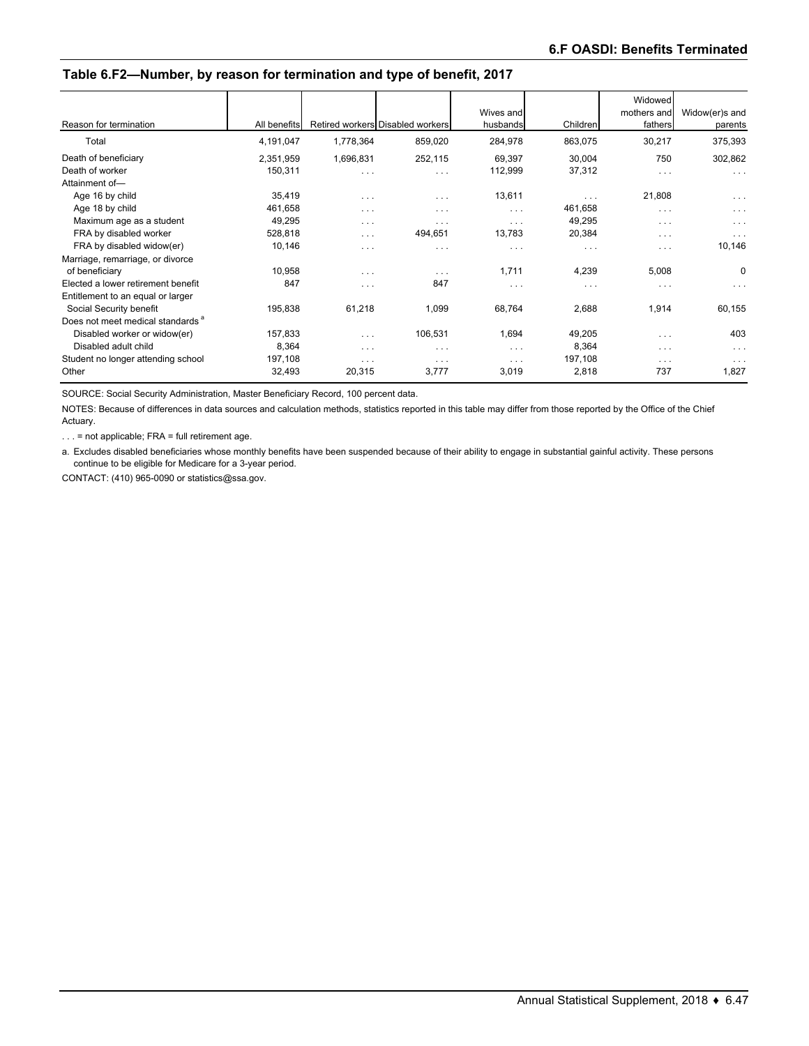## **Table 6.F2—Number, by reason for termination and type of benefit, 2017**

|                                              |              |           |                                  | Wives and |          | Widowed<br>mothers and  | Widow(er)s and       |
|----------------------------------------------|--------------|-----------|----------------------------------|-----------|----------|-------------------------|----------------------|
| Reason for termination                       | All benefits |           | Retired workers Disabled workers | husbands  | Children | fathers                 | parents              |
| Total                                        | 4,191,047    | 1,778,364 | 859,020                          | 284,978   | 863,075  | 30,217                  | 375,393              |
| Death of beneficiary                         | 2,351,959    | 1,696,831 | 252,115                          | 69,397    | 30,004   | 750                     | 302,862              |
| Death of worker                              | 150,311      | .         | $\cdots$                         | 112,999   | 37,312   | $\cdots$                | $\cdots$             |
| Attainment of-                               |              |           |                                  |           |          |                         |                      |
| Age 16 by child                              | 35,419       | $\cdots$  | $\cdots$                         | 13,611    | $\cdots$ | 21,808                  | $\sim$ $\sim$ $\sim$ |
| Age 18 by child                              | 461,658      | $\cdots$  | $\cdots$                         | $\cdots$  | 461,658  | $\cdots$                | $\cdots$             |
| Maximum age as a student                     | 49,295       | $\cdots$  | $\cdots$                         | $\cdots$  | 49,295   | $\cdots$                | $\cdots$             |
| FRA by disabled worker                       | 528,818      | $\cdots$  | 494,651                          | 13,783    | 20,384   | $\cdots$                | $\cdots$             |
| FRA by disabled widow(er)                    | 10,146       | $\cdots$  | $\cdots$                         | $\cdots$  | $\cdots$ | $\cdots$                | 10,146               |
| Marriage, remarriage, or divorce             |              |           |                                  |           |          |                         |                      |
| of beneficiary                               | 10,958       | $\cdots$  | $\cdots$                         | 1,711     | 4,239    | 5,008                   | 0                    |
| Elected a lower retirement benefit           | 847          | .         | 847                              | $\cdots$  | $\cdots$ | $\sim$ $\sim$ $\sim$    | $\cdots$             |
| Entitlement to an equal or larger            |              |           |                                  |           |          |                         |                      |
| Social Security benefit                      | 195,838      | 61,218    | 1,099                            | 68,764    | 2,688    | 1,914                   | 60,155               |
| Does not meet medical standards <sup>a</sup> |              |           |                                  |           |          |                         |                      |
| Disabled worker or widow(er)                 | 157,833      | .         | 106,531                          | 1,694     | 49,205   | $\cdot$ $\cdot$ $\cdot$ | 403                  |
| Disabled adult child                         | 8,364        | $\cdots$  | $\cdots$                         | $\cdots$  | 8,364    | $\cdots$                | $\cdots$             |
| Student no longer attending school           | 197,108      | $\cdots$  | $\cdots$                         | $\cdots$  | 197,108  | $\cdots$                | $\cdots$             |
| Other                                        | 32,493       | 20,315    | 3,777                            | 3,019     | 2,818    | 737                     | 1,827                |

SOURCE: Social Security Administration, Master Beneficiary Record, 100 percent data.

NOTES: Because of differences in data sources and calculation methods, statistics reported in this table may differ from those reported by the Office of the Chief Actuary.

. . . = not applicable; FRA = full retirement age.

a. Excludes disabled beneficiaries whose monthly benefits have been suspended because of their ability to engage in substantial gainful activity. These persons continue to be eligible for Medicare for a 3-year period.

CONTACT: (410) 965-0090 or statistics@ssa.gov.